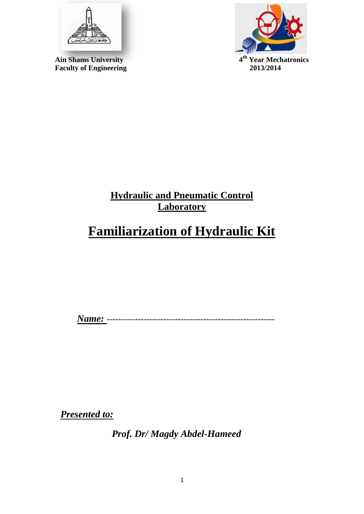

**Ain Shams University Faculty of Engineering 2013/2014**



# **Hydraulic and Pneumatic Control Laboratory**

# **Familiarization of Hydraulic Kit**

 *Name:* -----------------------------------------------------------

*Presented to:*

*Prof. Dr/ Magdy Abdel-Hameed*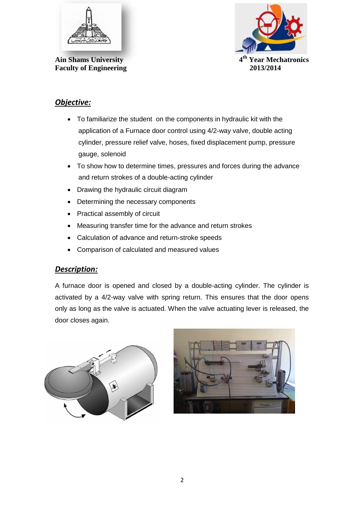

**Ain Shams University 4 Faculty of Engineering 2013/2014**



## *Objective:*

- To familiarize the student on the components in hydraulic kit with the application of a Furnace door control using 4/2-way valve, double acting cylinder, pressure relief valve, hoses, fixed displacement pump, pressure gauge, solenoid
- To show how to determine times, pressures and forces during the advance and return strokes of a double-acting cylinder
- Drawing the hydraulic circuit diagram
- Determining the necessary components
- Practical assembly of circuit
- Measuring transfer time for the advance and return strokes
- Calculation of advance and return-stroke speeds
- Comparison of calculated and measured values

#### *Description:*

A furnace door is opened and closed by a double-acting cylinder. The cylinder is activated by a 4/2-way valve with spring return. This ensures that the door opens only as long as the valve is actuated. When the valve actuating lever is released, the door closes again.



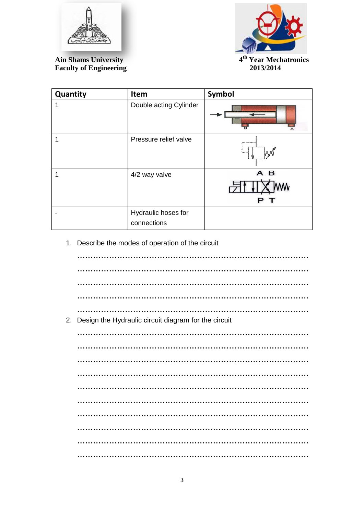



**Ain Shams University 4 Faculty of Engineering** 

| Quantity | <b>Item</b>                        | Symbol                  |
|----------|------------------------------------|-------------------------|
|          | Double acting Cylinder             | $\overline{\mathbf{R}}$ |
|          | Pressure relief valve              | w                       |
| 1        | 4/2 way valve                      | A B                     |
|          | Hydraulic hoses for<br>connections |                         |

1. Describe the modes of operation of the circuit

| 2. Design the Hydraulic circuit diagram for the circuit |
|---------------------------------------------------------|
|                                                         |
|                                                         |
|                                                         |
|                                                         |
|                                                         |
|                                                         |
|                                                         |
|                                                         |
|                                                         |
|                                                         |
|                                                         |